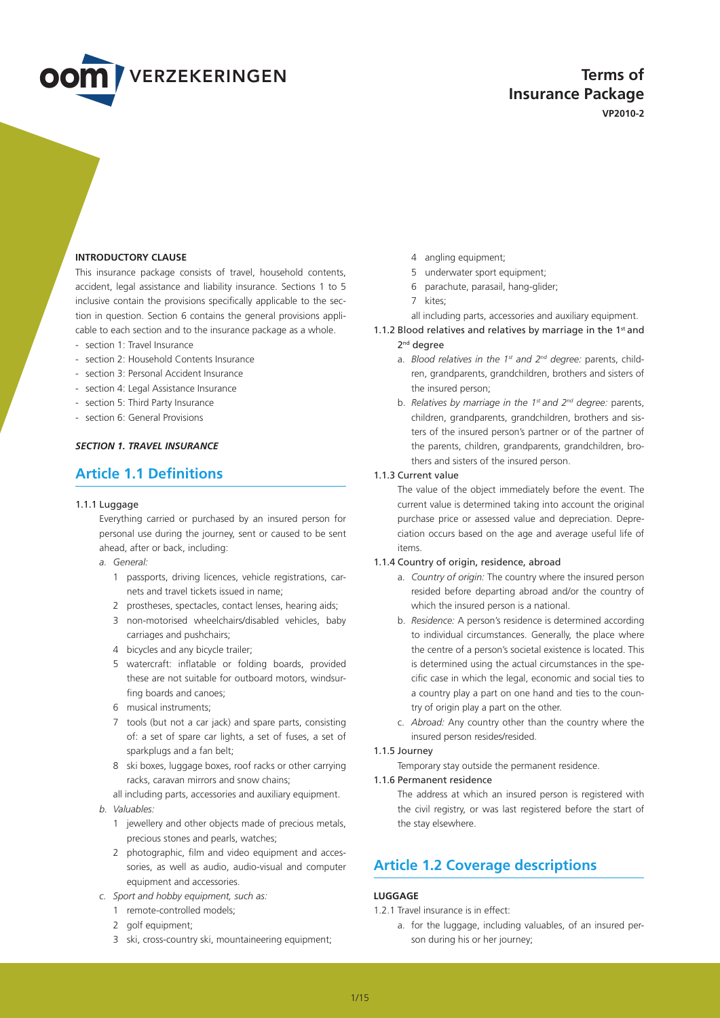

**Terms of Insurance Package VP2010-2**

## **INTRODUCTORY CLAUSE**

This insurance package consists of travel, household contents, accident, legal assistance and liability insurance. Sections 1 to 5 inclusive contain the provisions specifically applicable to the section in question. Section 6 contains the general provisions applicable to each section and to the insurance package as a whole.

- section 1: Travel Insurance
- section 2: Household Contents Insurance
- section 3: Personal Accident Insurance
- section 4: Legal Assistance Insurance
- section 5: Third Party Insurance
- section 6: General Provisions

## *SECTION 1. TRAVEL INSURANCE*

# **Article 1.1 Definitions**

#### 1.1.1 Luggage

Everything carried or purchased by an insured person for personal use during the journey, sent or caused to be sent ahead, after or back, including:

- *a. General:*
	- 1 passports, driving licences, vehicle registrations, carnets and travel tickets issued in name;
	- 2 prostheses, spectacles, contact lenses, hearing aids;
	- 3 non-motorised wheelchairs/disabled vehicles, baby carriages and pushchairs;
	- 4 bicycles and any bicycle trailer;
	- 5 watercraft: inflatable or folding boards, provided these are not suitable for outboard motors, windsurfing boards and canoes;
	- 6 musical instruments;
	- 7 tools (but not a car jack) and spare parts, consisting of: a set of spare car lights, a set of fuses, a set of sparkplugs and a fan belt;
	- 8 ski boxes, luggage boxes, roof racks or other carrying racks, caravan mirrors and snow chains;
	- all including parts, accessories and auxiliary equipment.
- *b. Valuables:*
	- 1 jewellery and other objects made of precious metals, precious stones and pearls, watches;
	- 2 photographic, film and video equipment and accessories, as well as audio, audio-visual and computer equipment and accessories.
- *c. Sport and hobby equipment, such as:*
	- 1 remote-controlled models;
	- 2 golf equipment;
	- 3 ski, cross-country ski, mountaineering equipment;
- 4 angling equipment;
- 5 underwater sport equipment;
- 6 parachute, parasail, hang-glider;
- 7 kites;
- all including parts, accessories and auxiliary equipment.

1.1.2 Blood relatives and relatives by marriage in the  $1<sup>st</sup>$  and

- 2<sup>nd</sup> degree
	- a. *Blood relatives in the 1st and 2nd degree:* parents, children, grandparents, grandchildren, brothers and sisters of the insured person;
- b. *Relatives by marriage in the 1st and 2nd degree:* parents, children, grandparents, grandchildren, brothers and sisters of the insured person's partner or of the partner of the parents, children, grandparents, grandchildren, brothers and sisters of the insured person.

#### 1.1.3 Current value

The value of the object immediately before the event. The current value is determined taking into account the original purchase price or assessed value and depreciation. Depreciation occurs based on the age and average useful life of items.

#### 1.1.4 Country of origin, residence, abroad

- a. *Country of origin:* The country where the insured person resided before departing abroad and/or the country of which the insured person is a national.
- b. *Residence:* A person's residence is determined according to individual circumstances. Generally, the place where the centre of a person's societal existence is located. This is determined using the actual circumstances in the specific case in which the legal, economic and social ties to a country play a part on one hand and ties to the country of origin play a part on the other.
- c. *Abroad:* Any country other than the country where the insured person resides/resided.

## 1.1.5 Journey

Temporary stay outside the permanent residence.

#### 1.1.6 Permanent residence

The address at which an insured person is registered with the civil registry, or was last registered before the start of the stay elsewhere.

# **Article 1.2 Coverage descriptions**

## **lUGGAGE**

- 1.2.1 Travel insurance is in effect:
	- a. for the luggage, including valuables, of an insured person during his or her journey;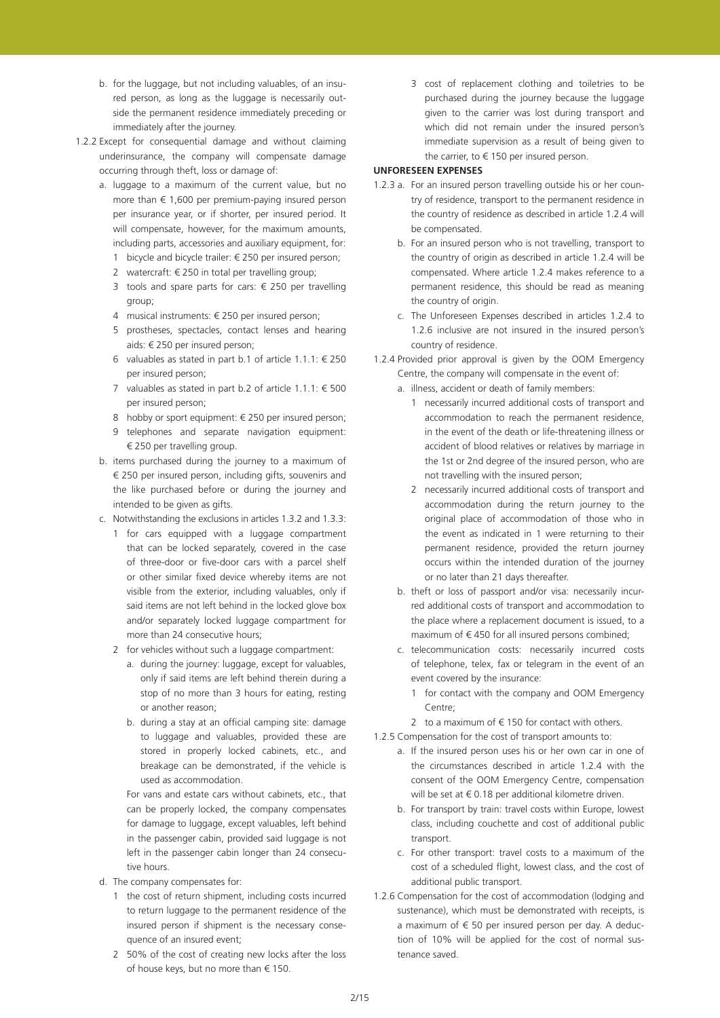- b. for the luggage, but not including valuables, of an insured person, as long as the luggage is necessarily outside the permanent residence immediately preceding or immediately after the journey.
- 1.2.2 Except for consequential damage and without claiming underinsurance, the company will compensate damage occurring through theft, loss or damage of:
	- a. luggage to a maximum of the current value, but no more than  $\epsilon$  1,600 per premium-paying insured person per insurance year, or if shorter, per insured period. It will compensate, however, for the maximum amounts, including parts, accessories and auxiliary equipment, for:
		- 1 bicycle and bicycle trailer: € 250 per insured person; 2 watercraft:  $\in$  250 in total per travelling group;
		- 3 tools and spare parts for cars: € 250 per travelling
		- group;
		- 4 musical instruments: € 250 per insured person;
		- 5 prostheses, spectacles, contact lenses and hearing aids: € 250 per insured person;
		- 6 valuables as stated in part b.1 of article 1.1.1:  $\epsilon$  250 per insured person;
		- 7 valuables as stated in part b.2 of article  $1.1.1$ : € 500 per insured person;
		- 8 hobby or sport equipment: € 250 per insured person;
		- 9 telephones and separate navigation equipment: € 250 per travelling group.
	- b. items purchased during the journey to a maximum of € 250 per insured person, including gifts, souvenirs and the like purchased before or during the journey and intended to be given as gifts.
	- c. Notwithstanding the exclusions in articles 1.3.2 and 1.3.3:
		- 1 for cars equipped with a luggage compartment that can be locked separately, covered in the case of three-door or five-door cars with a parcel shelf or other similar fixed device whereby items are not visible from the exterior, including valuables, only if said items are not left behind in the locked glove box and/or separately locked luggage compartment for more than 24 consecutive hours;
		- 2 for vehicles without such a luggage compartment:
			- a. during the journey: luggage, except for valuables, only if said items are left behind therein during a stop of no more than 3 hours for eating, resting or another reason;
			- b. during a stay at an official camping site: damage to luggage and valuables, provided these are stored in properly locked cabinets, etc., and breakage can be demonstrated, if the vehicle is used as accommodation.

For vans and estate cars without cabinets, etc., that can be properly locked, the company compensates for damage to luggage, except valuables, left behind in the passenger cabin, provided said luggage is not left in the passenger cabin longer than 24 consecutive hours.

- d. The company compensates for:
	- 1 the cost of return shipment, including costs incurred to return luggage to the permanent residence of the insured person if shipment is the necessary consequence of an insured event;
	- 2 50% of the cost of creating new locks after the loss of house keys, but no more than € 150.

3 cost of replacement clothing and toiletries to be purchased during the journey because the luggage given to the carrier was lost during transport and which did not remain under the insured person's immediate supervision as a result of being given to the carrier, to  $\epsilon$  150 per insured person.

## **UNFORESEEN EXPENSES**

- 1.2.3 a. For an insured person travelling outside his or her country of residence, transport to the permanent residence in the country of residence as described in article 1.2.4 will be compensated.
	- b. For an insured person who is not travelling, transport to the country of origin as described in article 1.2.4 will be compensated. Where article 1.2.4 makes reference to a permanent residence, this should be read as meaning the country of origin.
	- c. The Unforeseen Expenses described in articles 1.2.4 to 1.2.6 inclusive are not insured in the insured person's country of residence.
- 1.2.4 Provided prior approval is given by the OOM Emergency Centre, the company will compensate in the event of:
	- a. illness, accident or death of family members:
		- 1 necessarily incurred additional costs of transport and accommodation to reach the permanent residence, in the event of the death or life-threatening illness or accident of blood relatives or relatives by marriage in the 1st or 2nd degree of the insured person, who are not travelling with the insured person;
		- 2 necessarily incurred additional costs of transport and accommodation during the return journey to the original place of accommodation of those who in the event as indicated in 1 were returning to their permanent residence, provided the return journey occurs within the intended duration of the journey or no later than 21 days thereafter.
	- b. theft or loss of passport and/or visa: necessarily incurred additional costs of transport and accommodation to the place where a replacement document is issued, to a maximum of  $\epsilon$  450 for all insured persons combined;
	- c. telecommunication costs: necessarily incurred costs of telephone, telex, fax or telegram in the event of an event covered by the insurance:
		- 1 for contact with the company and OOM Emergency Centre;
	- 2 to a maximum of  $\epsilon$  150 for contact with others.
- 1.2.5 Compensation for the cost of transport amounts to:
	- a. If the insured person uses his or her own car in one of the circumstances described in article 1.2.4 with the consent of the OOM Emergency Centre, compensation will be set at € 0.18 per additional kilometre driven.
	- b. For transport by train: travel costs within Europe, lowest class, including couchette and cost of additional public transport.
	- c. For other transport: travel costs to a maximum of the cost of a scheduled flight, lowest class, and the cost of additional public transport.
- 1.2.6 Compensation for the cost of accommodation (lodging and sustenance), which must be demonstrated with receipts, is a maximum of  $\epsilon$  50 per insured person per day. A deduction of 10% will be applied for the cost of normal sustenance saved.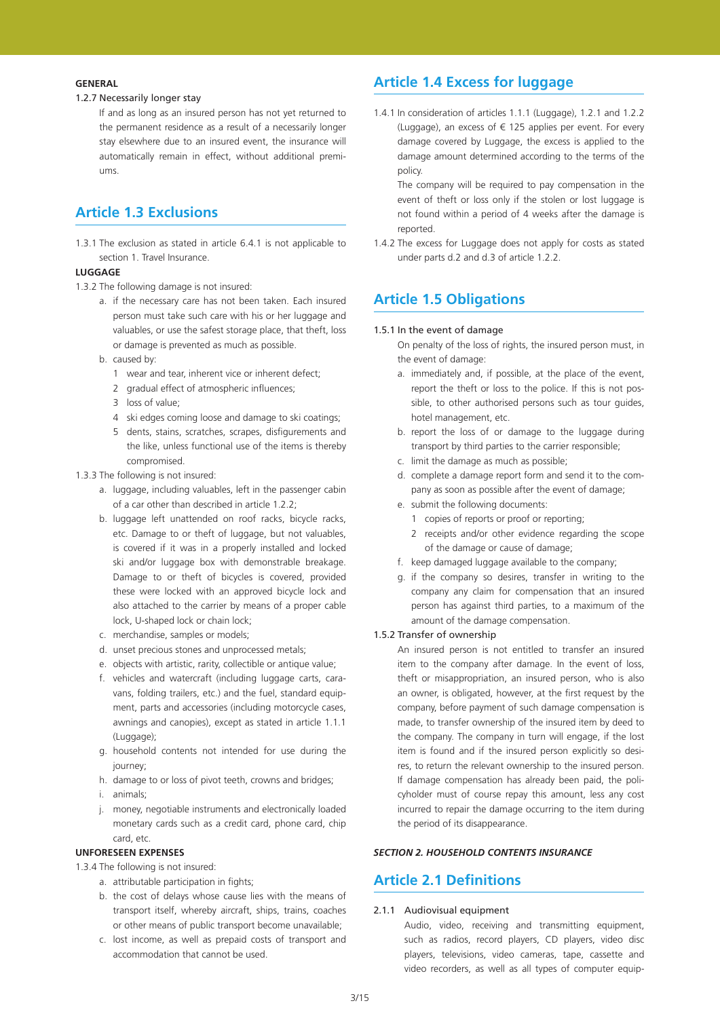## **General**

## 1.2.7 Necessarily longer stay

If and as long as an insured person has not yet returned to the permanent residence as a result of a necessarily longer stay elsewhere due to an insured event, the insurance will automatically remain in effect, without additional premiums.

# **Article 1.3 Exclusions**

1.3.1 The exclusion as stated in article 6.4.1 is not applicable to section 1. Travel Insurance.

## **LUGGAGE**

- 1.3.2 The following damage is not insured:
	- a. if the necessary care has not been taken. Each insured person must take such care with his or her luggage and valuables, or use the safest storage place, that theft, loss or damage is prevented as much as possible.
	- b. caused by:
		- 1 wear and tear, inherent vice or inherent defect;
		- 2 gradual effect of atmospheric influences;
		- 3 loss of value;
		- 4 ski edges coming loose and damage to ski coatings;
		- 5 dents, stains, scratches, scrapes, disfigurements and the like, unless functional use of the items is thereby compromised.
- 1.3.3 The following is not insured:
	- a. luggage, including valuables, left in the passenger cabin of a car other than described in article 1.2.2;
	- b. luggage left unattended on roof racks, bicycle racks, etc. Damage to or theft of luggage, but not valuables, is covered if it was in a properly installed and locked ski and/or luggage box with demonstrable breakage. Damage to or theft of bicycles is covered, provided these were locked with an approved bicycle lock and also attached to the carrier by means of a proper cable lock, U-shaped lock or chain lock;
	- c. merchandise, samples or models;
	- d. unset precious stones and unprocessed metals;
	- e. objects with artistic, rarity, collectible or antique value;
	- f. vehicles and watercraft (including luggage carts, caravans, folding trailers, etc.) and the fuel, standard equipment, parts and accessories (including motorcycle cases, awnings and canopies), except as stated in article 1.1.1 (Luggage);
	- g. household contents not intended for use during the journey;
	- h. damage to or loss of pivot teeth, crowns and bridges;
	- i. animals;
	- j. money, negotiable instruments and electronically loaded monetary cards such as a credit card, phone card, chip card, etc.

## **UNFORESEEN EXPENSES**

- 1.3.4 The following is not insured:
	- a. attributable participation in fights;
		- b. the cost of delays whose cause lies with the means of transport itself, whereby aircraft, ships, trains, coaches or other means of public transport become unavailable;
		- c. lost income, as well as prepaid costs of transport and accommodation that cannot be used.

# **Article 1.4 Excess for luggage**

1.4.1 In consideration of articles 1.1.1 (Luggage), 1.2.1 and 1.2.2 (Luggage), an excess of  $\epsilon$  125 applies per event. For every damage covered by Luggage, the excess is applied to the damage amount determined according to the terms of the policy.

The company will be required to pay compensation in the event of theft or loss only if the stolen or lost luggage is not found within a period of 4 weeks after the damage is reported.

1.4.2 The excess for Luggage does not apply for costs as stated under parts d.2 and d.3 of article 1.2.2.

## **Article 1.5 Obligations**

### 1.5.1 In the event of damage

On penalty of the loss of rights, the insured person must, in the event of damage:

- a. immediately and, if possible, at the place of the event, report the theft or loss to the police. If this is not possible, to other authorised persons such as tour guides, hotel management, etc.
- b. report the loss of or damage to the luggage during transport by third parties to the carrier responsible;
- c. limit the damage as much as possible;
- d. complete a damage report form and send it to the company as soon as possible after the event of damage;
- e. submit the following documents:
	- 1 copies of reports or proof or reporting;
	- 2 receipts and/or other evidence regarding the scope of the damage or cause of damage;
- f. keep damaged luggage available to the company;
- g. if the company so desires, transfer in writing to the company any claim for compensation that an insured person has against third parties, to a maximum of the amount of the damage compensation.

#### 1.5.2 Transfer of ownership

An insured person is not entitled to transfer an insured item to the company after damage. In the event of loss, theft or misappropriation, an insured person, who is also an owner, is obligated, however, at the first request by the company, before payment of such damage compensation is made, to transfer ownership of the insured item by deed to the company. The company in turn will engage, if the lost item is found and if the insured person explicitly so desires, to return the relevant ownership to the insured person. If damage compensation has already been paid, the policyholder must of course repay this amount, less any cost incurred to repair the damage occurring to the item during the period of its disappearance.

## *SECTION 2. HOUSEHOLD CONTENTS INSURANCE*

## **Article 2.1 Definitions**

## 2.1.1 Audiovisual equipment

Audio, video, receiving and transmitting equipment, such as radios, record players, CD players, video disc players, televisions, video cameras, tape, cassette and video recorders, as well as all types of computer equip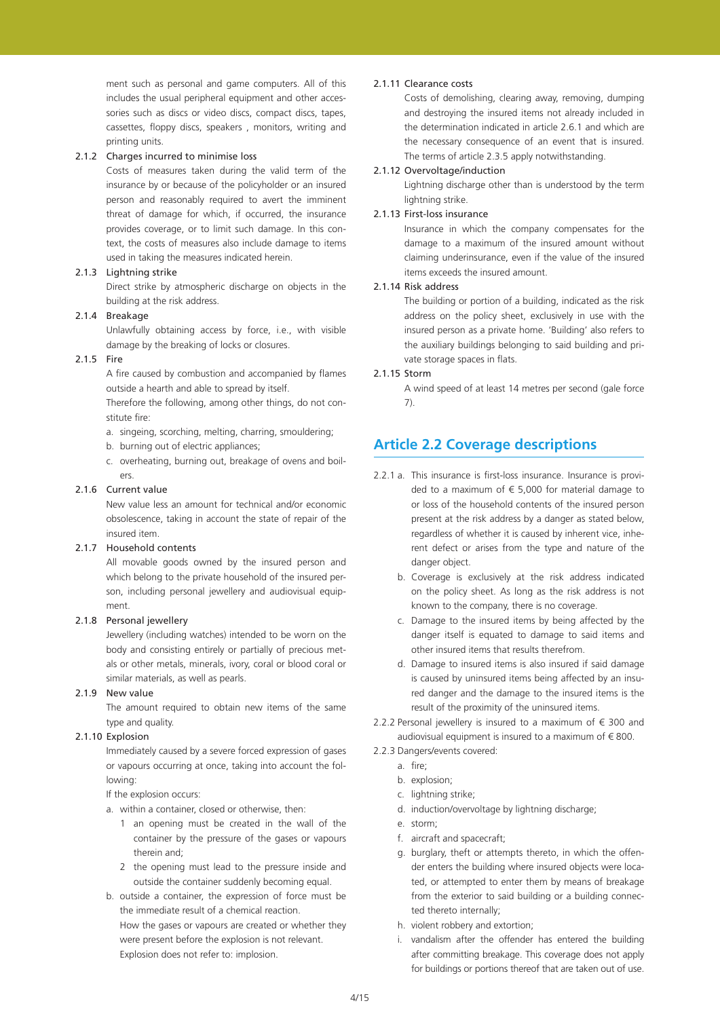ment such as personal and game computers. All of this includes the usual peripheral equipment and other accessories such as discs or video discs, compact discs, tapes, cassettes, floppy discs, speakers , monitors, writing and printing units.

## 2.1.2 Charges incurred to minimise loss

Costs of measures taken during the valid term of the insurance by or because of the policyholder or an insured person and reasonably required to avert the imminent threat of damage for which, if occurred, the insurance provides coverage, or to limit such damage. In this context, the costs of measures also include damage to items used in taking the measures indicated herein.

## 2.1.3 Lightning strike

Direct strike by atmospheric discharge on objects in the building at the risk address.

### 2.1.4 Breakage

Unlawfully obtaining access by force, i.e., with visible damage by the breaking of locks or closures.

## 2.1.5 Fire

A fire caused by combustion and accompanied by flames outside a hearth and able to spread by itself.

Therefore the following, among other things, do not constitute fire:

- a. singeing, scorching, melting, charring, smouldering;
- b. burning out of electric appliances;
- c. overheating, burning out, breakage of ovens and boilers

### 2.1.6 Current value

New value less an amount for technical and/or economic obsolescence, taking in account the state of repair of the insured item.

## 2.1.7 Household contents

All movable goods owned by the insured person and which belong to the private household of the insured person, including personal jewellery and audiovisual equipment.

#### 2.1.8 Personal jewellery

Jewellery (including watches) intended to be worn on the body and consisting entirely or partially of precious metals or other metals, minerals, ivory, coral or blood coral or similar materials, as well as pearls.

### 2.1.9 New value

The amount required to obtain new items of the same type and quality.

### 2.1.10 Explosion

Immediately caused by a severe forced expression of gases or vapours occurring at once, taking into account the following:

If the explosion occurs:

- a. within a container, closed or otherwise, then:
	- 1 an opening must be created in the wall of the container by the pressure of the gases or vapours therein and;
	- 2 the opening must lead to the pressure inside and outside the container suddenly becoming equal.
- b. outside a container, the expression of force must be the immediate result of a chemical reaction. How the gases or vapours are created or whether they were present before the explosion is not relevant. Explosion does not refer to: implosion.

#### 2.1.11 Clearance costs

Costs of demolishing, clearing away, removing, dumping and destroying the insured items not already included in the determination indicated in article 2.6.1 and which are the necessary consequence of an event that is insured. The terms of article 2.3.5 apply notwithstanding.

#### 2.1.12 Overvoltage/induction

Lightning discharge other than is understood by the term lightning strike.

#### 2.1.13 First-loss insurance

Insurance in which the company compensates for the damage to a maximum of the insured amount without claiming underinsurance, even if the value of the insured items exceeds the insured amount.

## 2.1.14 Risk address

The building or portion of a building, indicated as the risk address on the policy sheet, exclusively in use with the insured person as a private home. 'Building' also refers to the auxiliary buildings belonging to said building and private storage spaces in flats.

#### 2.1.15 Storm

A wind speed of at least 14 metres per second (gale force 7).

## **Article 2.2 Coverage descriptions**

- 2.2.1 a. This insurance is first-loss insurance. Insurance is provided to a maximum of  $\epsilon$  5,000 for material damage to or loss of the household contents of the insured person present at the risk address by a danger as stated below, regardless of whether it is caused by inherent vice, inherent defect or arises from the type and nature of the danger object.
	- b. Coverage is exclusively at the risk address indicated on the policy sheet. As long as the risk address is not known to the company, there is no coverage.
	- c. Damage to the insured items by being affected by the danger itself is equated to damage to said items and other insured items that results therefrom.
	- d. Damage to insured items is also insured if said damage is caused by uninsured items being affected by an insured danger and the damage to the insured items is the result of the proximity of the uninsured items.
- 2.2.2 Personal jewellery is insured to a maximum of  $\epsilon$  300 and audiovisual equipment is insured to a maximum of  $\epsilon$  800.
- 2.2.3 Dangers/events covered:
	- a. fire;
	- b. explosion;
	- c. lightning strike;
	- d. induction/overvoltage by lightning discharge;
	- e. storm;
	- f. aircraft and spacecraft;
	- g. burglary, theft or attempts thereto, in which the offender enters the building where insured objects were located, or attempted to enter them by means of breakage from the exterior to said building or a building connected thereto internally;
	- h. violent robbery and extortion;
	- i. vandalism after the offender has entered the building after committing breakage. This coverage does not apply for buildings or portions thereof that are taken out of use.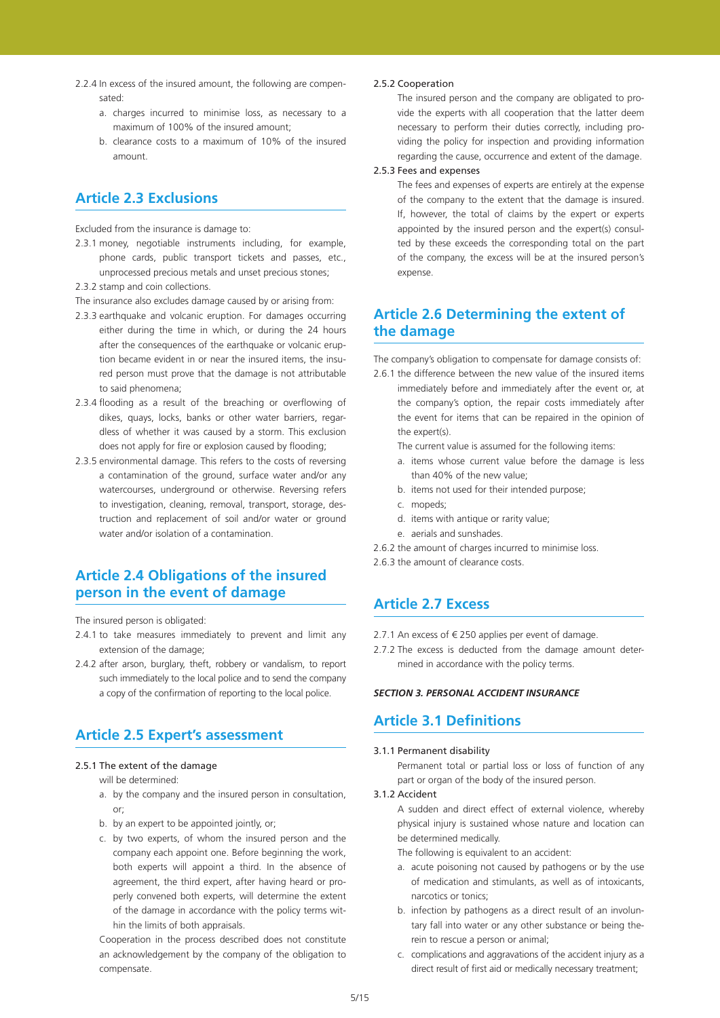- 2.2.4 In excess of the insured amount, the following are compensated:
	- a. charges incurred to minimise loss, as necessary to a maximum of 100% of the insured amount;
	- b. clearance costs to a maximum of 10% of the insured amount.

# **Article 2.3 Exclusions**

Excluded from the insurance is damage to:

- 2.3.1 money, negotiable instruments including, for example, phone cards, public transport tickets and passes, etc., unprocessed precious metals and unset precious stones;
- 2.3.2 stamp and coin collections.

The insurance also excludes damage caused by or arising from:

- 2.3.3 earthquake and volcanic eruption. For damages occurring either during the time in which, or during the 24 hours after the consequences of the earthquake or volcanic eruption became evident in or near the insured items, the insured person must prove that the damage is not attributable to said phenomena;
- 2.3.4 flooding as a result of the breaching or overflowing of dikes, quays, locks, banks or other water barriers, regardless of whether it was caused by a storm. This exclusion does not apply for fire or explosion caused by flooding;
- 2.3.5 environmental damage. This refers to the costs of reversing a contamination of the ground, surface water and/or any watercourses, underground or otherwise. Reversing refers to investigation, cleaning, removal, transport, storage, destruction and replacement of soil and/or water or ground water and/or isolation of a contamination.

# **Article 2.4 Obligations of the insured person in the event of damage**

The insured person is obligated:

- 2.4.1 to take measures immediately to prevent and limit any extension of the damage;
- 2.4.2 after arson, burglary, theft, robbery or vandalism, to report such immediately to the local police and to send the company a copy of the confirmation of reporting to the local police.

## **Article 2.5 Expert's assessment**

#### 2.5.1 The extent of the damage

will be determined:

- a. by the company and the insured person in consultation, or;
- b. by an expert to be appointed jointly, or;
- c. by two experts, of whom the insured person and the company each appoint one. Before beginning the work, both experts will appoint a third. In the absence of agreement, the third expert, after having heard or properly convened both experts, will determine the extent of the damage in accordance with the policy terms within the limits of both appraisals.

Cooperation in the process described does not constitute an acknowledgement by the company of the obligation to compensate.

#### 2.5.2 Cooperation

The insured person and the company are obligated to provide the experts with all cooperation that the latter deem necessary to perform their duties correctly, including providing the policy for inspection and providing information regarding the cause, occurrence and extent of the damage.

## 2.5.3 Fees and expenses

The fees and expenses of experts are entirely at the expense of the company to the extent that the damage is insured. If, however, the total of claims by the expert or experts appointed by the insured person and the expert(s) consulted by these exceeds the corresponding total on the part of the company, the excess will be at the insured person's expense.

## **Article 2.6 Determining the extent of the damage**

The company's obligation to compensate for damage consists of:

- 2.6.1 the difference between the new value of the insured items immediately before and immediately after the event or, at the company's option, the repair costs immediately after the event for items that can be repaired in the opinion of the expert(s).
	- The current value is assumed for the following items:
	- a. items whose current value before the damage is less than 40% of the new value;
	- b. items not used for their intended purpose;
	- c. mopeds;
	- d. items with antique or rarity value;
	- e. aerials and sunshades.
- 2.6.2 the amount of charges incurred to minimise loss.

2.6.3 the amount of clearance costs.

# **Article 2.7 Excess**

2.7.1 An excess of € 250 applies per event of damage.

2.7.2 The excess is deducted from the damage amount determined in accordance with the policy terms.

### *SECTION 3. PERSONAL ACCIDENT INSURANCE*

## **Article 3.1 Definitions**

#### 3.1.1 Permanent disability

Permanent total or partial loss or loss of function of any part or organ of the body of the insured person.

#### 3.1.2 Accident

A sudden and direct effect of external violence, whereby physical injury is sustained whose nature and location can be determined medically.

The following is equivalent to an accident:

- a. acute poisoning not caused by pathogens or by the use of medication and stimulants, as well as of intoxicants, narcotics or tonics;
- b. infection by pathogens as a direct result of an involuntary fall into water or any other substance or being therein to rescue a person or animal;
- c. complications and aggravations of the accident injury as a direct result of first aid or medically necessary treatment;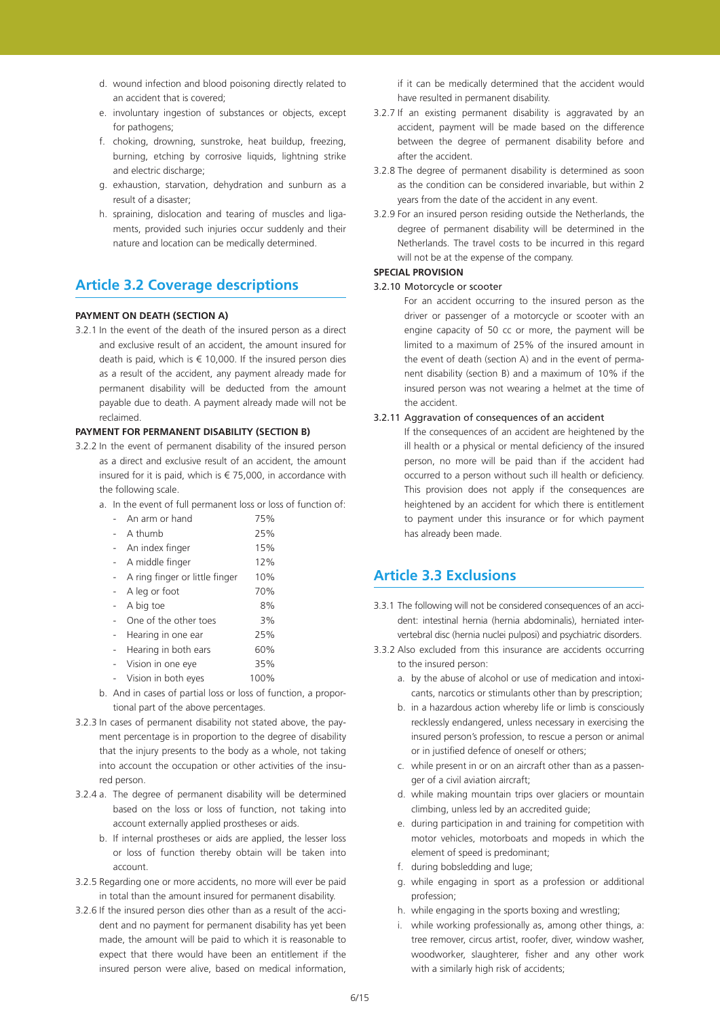- d. wound infection and blood poisoning directly related to an accident that is covered;
- e. involuntary ingestion of substances or objects, except for pathogens;
- f. choking, drowning, sunstroke, heat buildup, freezing, burning, etching by corrosive liquids, lightning strike and electric discharge:
- g. exhaustion, starvation, dehydration and sunburn as a result of a disaster;
- h. spraining, dislocation and tearing of muscles and ligaments, provided such injuries occur suddenly and their nature and location can be medically determined.

# **Article 3.2 Coverage descriptions**

## **pAYMENT ON DEATH (SECTION A)**

3.2.1 In the event of the death of the insured person as a direct and exclusive result of an accident, the amount insured for death is paid, which is  $\epsilon$  10,000. If the insured person dies as a result of the accident, any payment already made for permanent disability will be deducted from the amount payable due to death. A payment already made will not be reclaimed.

## **PAYMENT FOR PERMANENT DISABILITY (SECTION B)**

- 3.2.2 In the event of permanent disability of the insured person as a direct and exclusive result of an accident, the amount insured for it is paid, which is  $\epsilon$  75,000, in accordance with the following scale.
	- a. In the event of full permanent loss or loss of function of:

| An arm or hand                 | 75%  |  |
|--------------------------------|------|--|
| A thumb                        | 25%  |  |
| An index finger                | 15%  |  |
| A middle finger                | 12%  |  |
| A ring finger or little finger | 10%  |  |
| A leg or foot                  | 70%  |  |
| A big toe                      | 8%   |  |
| One of the other toes          | 3%   |  |
| Hearing in one ear             | 25%  |  |
| Hearing in both ears           | 60%  |  |
| Vision in one eye              | 35%  |  |
| Vision in both eyes            | 100% |  |

- b. And in cases of partial loss or loss of function, a proportional part of the above percentages.
- 3.2.3 In cases of permanent disability not stated above, the payment percentage is in proportion to the degree of disability that the injury presents to the body as a whole, not taking into account the occupation or other activities of the insured person.
- 3.2.4 a. The degree of permanent disability will be determined based on the loss or loss of function, not taking into account externally applied prostheses or aids.
	- b. If internal prostheses or aids are applied, the lesser loss or loss of function thereby obtain will be taken into account.
- 3.2.5 Regarding one or more accidents, no more will ever be paid in total than the amount insured for permanent disability.
- 3.2.6 If the insured person dies other than as a result of the accident and no payment for permanent disability has yet been made, the amount will be paid to which it is reasonable to expect that there would have been an entitlement if the insured person were alive, based on medical information,

if it can be medically determined that the accident would have resulted in permanent disability.

- 3.2.7 If an existing permanent disability is aggravated by an accident, payment will be made based on the difference between the degree of permanent disability before and after the accident.
- 3.2.8 The degree of permanent disability is determined as soon as the condition can be considered invariable, but within 2 years from the date of the accident in any event.
- 3.2.9 For an insured person residing outside the Netherlands, the degree of permanent disability will be determined in the Netherlands. The travel costs to be incurred in this regard will not be at the expense of the company.

#### **SPECIAL PROVISION**

## 3.2.10 Motorcycle or scooter

For an accident occurring to the insured person as the driver or passenger of a motorcycle or scooter with an engine capacity of 50 cc or more, the payment will be limited to a maximum of 25% of the insured amount in the event of death (section A) and in the event of permanent disability (section B) and a maximum of 10% if the insured person was not wearing a helmet at the time of the accident.

### 3.2.11 Aggravation of consequences of an accident

If the consequences of an accident are heightened by the ill health or a physical or mental deficiency of the insured person, no more will be paid than if the accident had occurred to a person without such ill health or deficiency. This provision does not apply if the consequences are heightened by an accident for which there is entitlement to payment under this insurance or for which payment has already been made.

## **Article 3.3 Exclusions**

- 3.3.1 The following will not be considered consequences of an accident: intestinal hernia (hernia abdominalis), herniated intervertebral disc (hernia nuclei pulposi) and psychiatric disorders.
- 3.3.2 Also excluded from this insurance are accidents occurring to the insured person:
	- a. by the abuse of alcohol or use of medication and intoxicants, narcotics or stimulants other than by prescription;
	- b. in a hazardous action whereby life or limb is consciously recklessly endangered, unless necessary in exercising the insured person's profession, to rescue a person or animal or in justified defence of oneself or others;
	- c. while present in or on an aircraft other than as a passenger of a civil aviation aircraft;
	- d. while making mountain trips over glaciers or mountain climbing, unless led by an accredited guide;
	- e. during participation in and training for competition with motor vehicles, motorboats and mopeds in which the element of speed is predominant;
	- f. during bobsledding and luge;
	- g. while engaging in sport as a profession or additional profession;
	- h. while engaging in the sports boxing and wrestling;
	- i. while working professionally as, among other things, a: tree remover, circus artist, roofer, diver, window washer, woodworker, slaughterer, fisher and any other work with a similarly high risk of accidents;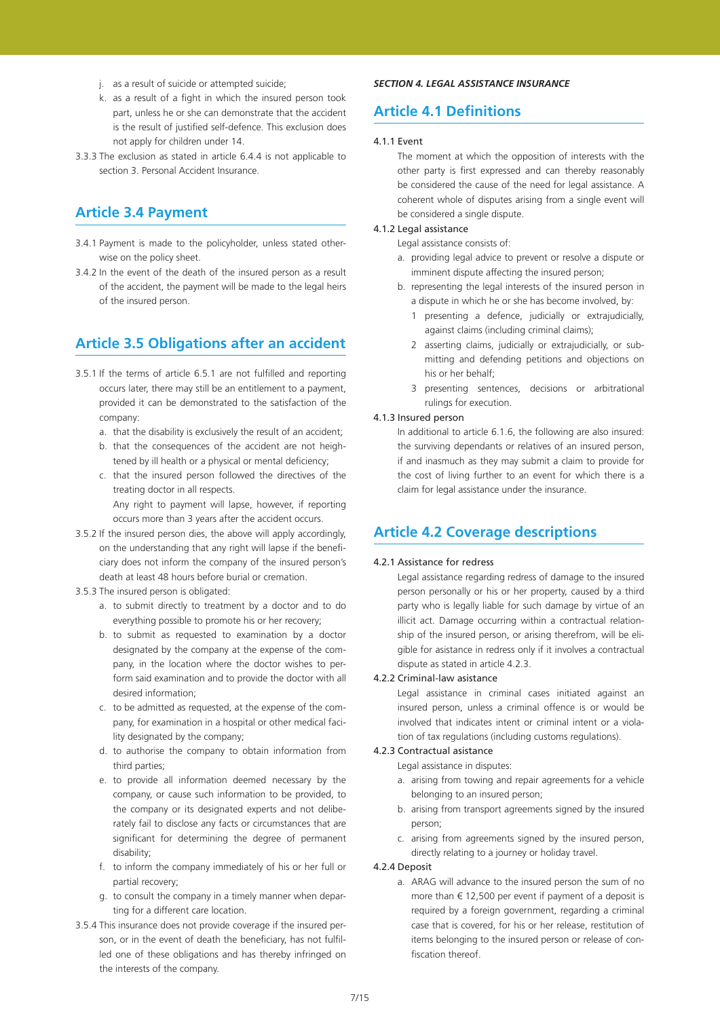- j. as a result of suicide or attempted suicide;
- k. as a result of a fight in which the insured person took part, unless he or she can demonstrate that the accident is the result of justified self-defence. This exclusion does not apply for children under 14.
- 3.3.3 The exclusion as stated in article 6.4.4 is not applicable to section 3. Personal Accident Insurance.

# **Article 3.4 Payment**

- 3.4.1 Payment is made to the policyholder, unless stated otherwise on the policy sheet.
- 3.4.2 In the event of the death of the insured person as a result of the accident, the payment will be made to the legal heirs of the insured person.

# **Article 3.5 Obligations after an accident**

- 3.5.1 If the terms of article 6.5.1 are not fulfilled and reporting occurs later, there may still be an entitlement to a payment, provided it can be demonstrated to the satisfaction of the company:
	- a. that the disability is exclusively the result of an accident;
	- b. that the consequences of the accident are not heightened by ill health or a physical or mental deficiency; c. that the insured person followed the directives of the treating doctor in all respects.

Any right to payment will lapse, however, if reporting occurs more than 3 years after the accident occurs.

- 3.5.2 If the insured person dies, the above will apply accordingly, on the understanding that any right will lapse if the beneficiary does not inform the company of the insured person's death at least 48 hours before burial or cremation.
- 3.5.3 The insured person is obligated:
	- a. to submit directly to treatment by a doctor and to do everything possible to promote his or her recovery;
	- b. to submit as requested to examination by a doctor designated by the company at the expense of the company, in the location where the doctor wishes to perform said examination and to provide the doctor with all desired information;
	- c. to be admitted as requested, at the expense of the company, for examination in a hospital or other medical facility designated by the company;
	- d. to authorise the company to obtain information from third parties;
	- e. to provide all information deemed necessary by the company, or cause such information to be provided, to the company or its designated experts and not deliberately fail to disclose any facts or circumstances that are significant for determining the degree of permanent disability;
	- f. to inform the company immediately of his or her full or partial recovery;
	- g. to consult the company in a timely manner when departing for a different care location.
- 3.5.4 This insurance does not provide coverage if the insured person, or in the event of death the beneficiary, has not fulfilled one of these obligations and has thereby infringed on the interests of the company.

### *SECTION 4. LEGAL ASSISTANCE INSURANCE*

# **Article 4.1 Definitions**

#### 4.1.1 Event

The moment at which the opposition of interests with the other party is first expressed and can thereby reasonably be considered the cause of the need for legal assistance. A coherent whole of disputes arising from a single event will be considered a single dispute.

#### 4.1.2 Legal assistance

Legal assistance consists of:

- a. providing legal advice to prevent or resolve a dispute or imminent dispute affecting the insured person;
- b. representing the legal interests of the insured person in a dispute in which he or she has become involved, by:
	- 1 presenting a defence, judicially or extrajudicially, against claims (including criminal claims);
	- 2 asserting claims, judicially or extrajudicially, or submitting and defending petitions and objections on his or her behalf;
	- 3 presenting sentences, decisions or arbitrational rulings for execution.

### 4.1.3 Insured person

In additional to article 6.1.6, the following are also insured: the surviving dependants or relatives of an insured person, if and inasmuch as they may submit a claim to provide for the cost of living further to an event for which there is a claim for legal assistance under the insurance.

## **Article 4.2 Coverage descriptions**

### 4.2.1 Assistance for redress

Legal assistance regarding redress of damage to the insured person personally or his or her property, caused by a third party who is legally liable for such damage by virtue of an illicit act. Damage occurring within a contractual relationship of the insured person, or arising therefrom, will be eligible for asistance in redress only if it involves a contractual dispute as stated in article 4.2.3.

#### 4.2.2 Criminal-law asistance

Legal assistance in criminal cases initiated against an insured person, unless a criminal offence is or would be involved that indicates intent or criminal intent or a violation of tax regulations (including customs regulations).

## 4.2.3 Contractual asistance

Legal assistance in disputes:

- a. arising from towing and repair agreements for a vehicle belonging to an insured person;
- b. arising from transport agreements signed by the insured person;
- c. arising from agreements signed by the insured person, directly relating to a journey or holiday travel.

## 4.2.4 Deposit

a. ARAG will advance to the insured person the sum of no more than  $\epsilon$  12.500 per event if payment of a deposit is required by a foreign government, regarding a criminal case that is covered, for his or her release, restitution of items belonging to the insured person or release of confiscation thereof.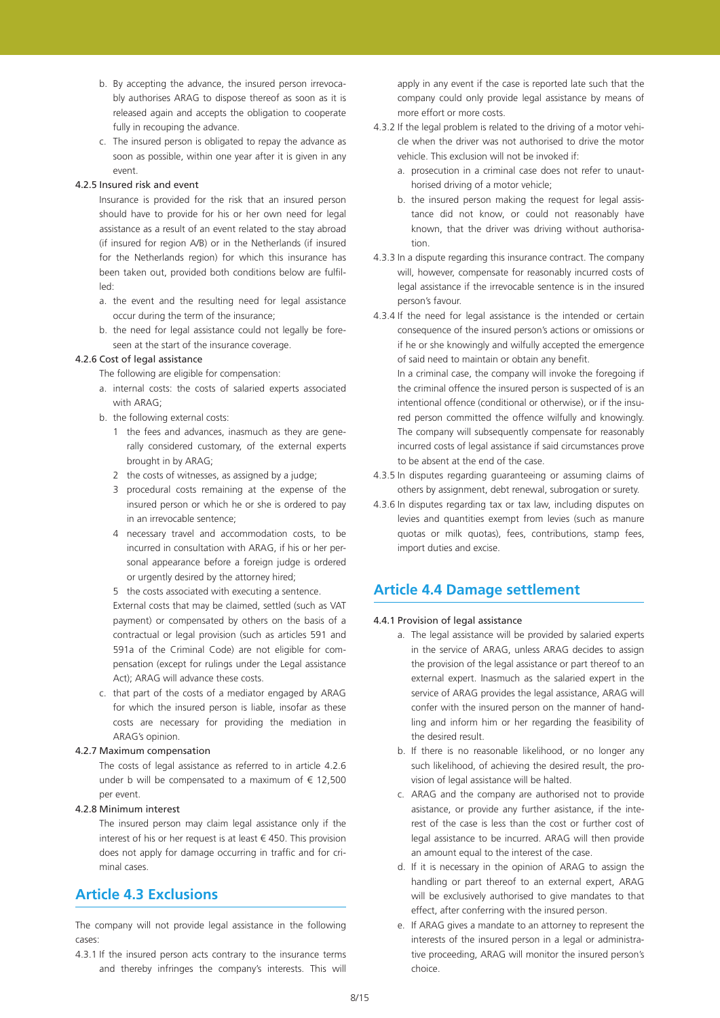- b. By accepting the advance, the insured person irrevocably authorises ARAG to dispose thereof as soon as it is released again and accepts the obligation to cooperate fully in recouping the advance.
- c. The insured person is obligated to repay the advance as soon as possible, within one year after it is given in any event.

#### 4.2.5 Insured risk and event

Insurance is provided for the risk that an insured person should have to provide for his or her own need for legal assistance as a result of an event related to the stay abroad (if insured for region A/B) or in the Netherlands (if insured for the Netherlands region) for which this insurance has been taken out, provided both conditions below are fulfilled:

- a. the event and the resulting need for legal assistance occur during the term of the insurance;
- b. the need for legal assistance could not legally be foreseen at the start of the insurance coverage.

#### 4.2.6 Cost of legal assistance

The following are eligible for compensation:

- a. internal costs: the costs of salaried experts associated with ARAG;
- b. the following external costs:
	- 1 the fees and advances, inasmuch as they are generally considered customary, of the external experts brought in by ARAG;
	- 2 the costs of witnesses, as assigned by a judge;
	- 3 procedural costs remaining at the expense of the insured person or which he or she is ordered to pay in an irrevocable sentence;
	- 4 necessary travel and accommodation costs, to be incurred in consultation with ARAG, if his or her personal appearance before a foreign judge is ordered or urgently desired by the attorney hired;
	- 5 the costs associated with executing a sentence.

External costs that may be claimed, settled (such as VAT payment) or compensated by others on the basis of a contractual or legal provision (such as articles 591 and 591a of the Criminal Code) are not eligible for compensation (except for rulings under the Legal assistance Act); ARAG will advance these costs.

c. that part of the costs of a mediator engaged by ARAG for which the insured person is liable, insofar as these costs are necessary for providing the mediation in ARAG's opinion.

### 4.2.7 Maximum compensation

The costs of legal assistance as referred to in article 4.2.6 under b will be compensated to a maximum of  $\epsilon$  12,500 per event.

#### 4.2.8 Minimum interest

The insured person may claim legal assistance only if the interest of his or her request is at least € 450. This provision does not apply for damage occurring in traffic and for criminal cases.

# **Article 4.3 Exclusions**

The company will not provide legal assistance in the following cases:

4.3.1 If the insured person acts contrary to the insurance terms and thereby infringes the company's interests. This will apply in any event if the case is reported late such that the company could only provide legal assistance by means of more effort or more costs.

- 4.3.2 If the legal problem is related to the driving of a motor vehicle when the driver was not authorised to drive the motor vehicle. This exclusion will not be invoked if:
	- a. prosecution in a criminal case does not refer to unauthorised driving of a motor vehicle;
	- b. the insured person making the request for legal assistance did not know, or could not reasonably have known, that the driver was driving without authorisation.
- 4.3.3 In a dispute regarding this insurance contract. The company will, however, compensate for reasonably incurred costs of legal assistance if the irrevocable sentence is in the insured person's favour.
- 4.3.4 If the need for legal assistance is the intended or certain consequence of the insured person's actions or omissions or if he or she knowingly and wilfully accepted the emergence of said need to maintain or obtain any benefit.

In a criminal case, the company will invoke the foregoing if the criminal offence the insured person is suspected of is an intentional offence (conditional or otherwise), or if the insured person committed the offence wilfully and knowingly. The company will subsequently compensate for reasonably incurred costs of legal assistance if said circumstances prove to be absent at the end of the case.

- 4.3.5 In disputes regarding guaranteeing or assuming claims of others by assignment, debt renewal, subrogation or surety.
- 4.3.6 In disputes regarding tax or tax law, including disputes on levies and quantities exempt from levies (such as manure quotas or milk quotas), fees, contributions, stamp fees, import duties and excise.

## **Article 4.4 Damage settlement**

#### 4.4.1 Provision of legal assistance

- a. The legal assistance will be provided by salaried experts in the service of ARAG, unless ARAG decides to assign the provision of the legal assistance or part thereof to an external expert. Inasmuch as the salaried expert in the service of ARAG provides the legal assistance, ARAG will confer with the insured person on the manner of handling and inform him or her regarding the feasibility of the desired result.
- b. If there is no reasonable likelihood, or no longer any such likelihood, of achieving the desired result, the provision of legal assistance will be halted.
- c. ARAG and the company are authorised not to provide asistance, or provide any further asistance, if the interest of the case is less than the cost or further cost of legal assistance to be incurred. ARAG will then provide an amount equal to the interest of the case.
- d. If it is necessary in the opinion of ARAG to assign the handling or part thereof to an external expert, ARAG will be exclusively authorised to give mandates to that effect, after conferring with the insured person.
- e. If ARAG gives a mandate to an attorney to represent the interests of the insured person in a legal or administrative proceeding, ARAG will monitor the insured person's choice.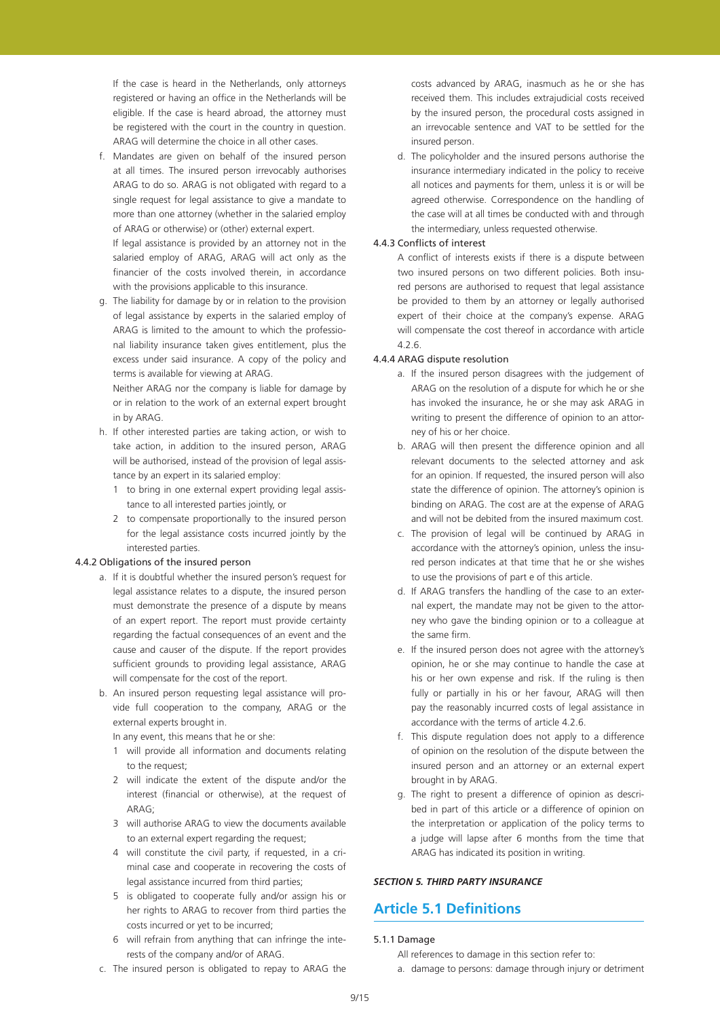If the case is heard in the Netherlands, only attorneys registered or having an office in the Netherlands will be eligible. If the case is heard abroad, the attorney must be registered with the court in the country in question. ARAG will determine the choice in all other cases.

f. Mandates are given on behalf of the insured person at all times. The insured person irrevocably authorises ARAG to do so. ARAG is not obligated with regard to a single request for legal assistance to give a mandate to more than one attorney (whether in the salaried employ of ARAG or otherwise) or (other) external expert.

If legal assistance is provided by an attorney not in the salaried employ of ARAG, ARAG will act only as the financier of the costs involved therein, in accordance with the provisions applicable to this insurance.

g. The liability for damage by or in relation to the provision of legal assistance by experts in the salaried employ of ARAG is limited to the amount to which the professional liability insurance taken gives entitlement, plus the excess under said insurance. A copy of the policy and terms is available for viewing at ARAG.

Neither ARAG nor the company is liable for damage by or in relation to the work of an external expert brought in by ARAG.

- h. If other interested parties are taking action, or wish to take action, in addition to the insured person, ARAG will be authorised, instead of the provision of legal assistance by an expert in its salaried employ:
	- 1 to bring in one external expert providing legal assistance to all interested parties jointly, or
	- 2 to compensate proportionally to the insured person for the legal assistance costs incurred jointly by the interested parties.

#### 4.4.2 Obligations of the insured person

- a. If it is doubtful whether the insured person's request for legal assistance relates to a dispute, the insured person must demonstrate the presence of a dispute by means of an expert report. The report must provide certainty regarding the factual consequences of an event and the cause and causer of the dispute. If the report provides sufficient grounds to providing legal assistance, ARAG will compensate for the cost of the report.
- b. An insured person requesting legal assistance will provide full cooperation to the company, ARAG or the external experts brought in.

In any event, this means that he or she:

- 1 will provide all information and documents relating to the request;
- 2 will indicate the extent of the dispute and/or the interest (financial or otherwise), at the request of  $\triangle$ R $\triangle$ G·
- 3 will authorise ARAG to view the documents available to an external expert regarding the request;
- 4 will constitute the civil party, if requested, in a criminal case and cooperate in recovering the costs of legal assistance incurred from third parties;
- 5 is obligated to cooperate fully and/or assign his or her rights to ARAG to recover from third parties the costs incurred or yet to be incurred;
- 6 will refrain from anything that can infringe the interests of the company and/or of ARAG.
- c. The insured person is obligated to repay to ARAG the

costs advanced by ARAG, inasmuch as he or she has received them. This includes extrajudicial costs received by the insured person, the procedural costs assigned in an irrevocable sentence and VAT to be settled for the insured person.

d. The policyholder and the insured persons authorise the insurance intermediary indicated in the policy to receive all notices and payments for them, unless it is or will be agreed otherwise. Correspondence on the handling of the case will at all times be conducted with and through the intermediary, unless requested otherwise.

### 4.4.3 Conflicts of interest

A conflict of interests exists if there is a dispute between two insured persons on two different policies. Both insured persons are authorised to request that legal assistance be provided to them by an attorney or legally authorised expert of their choice at the company's expense. ARAG will compensate the cost thereof in accordance with article 4.2.6.

#### 4.4.4 ARAG dispute resolution

- a. If the insured person disagrees with the judgement of ARAG on the resolution of a dispute for which he or she has invoked the insurance, he or she may ask ARAG in writing to present the difference of opinion to an attorney of his or her choice.
- b. ARAG will then present the difference opinion and all relevant documents to the selected attorney and ask for an opinion. If requested, the insured person will also state the difference of opinion. The attorney's opinion is binding on ARAG. The cost are at the expense of ARAG and will not be debited from the insured maximum cost.
- c. The provision of legal will be continued by ARAG in accordance with the attorney's opinion, unless the insured person indicates at that time that he or she wishes to use the provisions of part e of this article.
- d. If ARAG transfers the handling of the case to an external expert, the mandate may not be given to the attorney who gave the binding opinion or to a colleague at the same firm.
- e. If the insured person does not agree with the attorney's opinion, he or she may continue to handle the case at his or her own expense and risk. If the ruling is then fully or partially in his or her favour, ARAG will then pay the reasonably incurred costs of legal assistance in accordance with the terms of article 4.2.6.
- f. This dispute regulation does not apply to a difference of opinion on the resolution of the dispute between the insured person and an attorney or an external expert brought in by ARAG.
- g. The right to present a difference of opinion as described in part of this article or a difference of opinion on the interpretation or application of the policy terms to a judge will lapse after 6 months from the time that ARAG has indicated its position in writing.

## *SECTION 5. THIRD PARTY INSURANCE*

## **Article 5.1 Definitions**

### 5.1.1 Damage

- All references to damage in this section refer to:
- a. damage to persons: damage through injury or detriment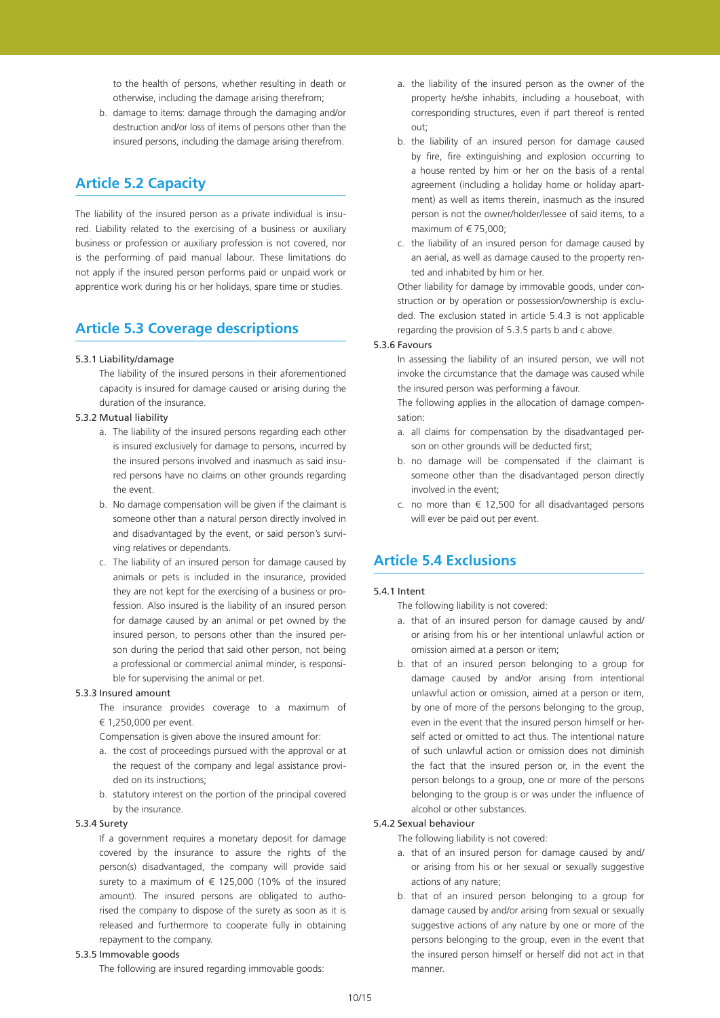to the health of persons, whether resulting in death or otherwise, including the damage arising therefrom;

b. damage to items: damage through the damaging and/or destruction and/or loss of items of persons other than the insured persons, including the damage arising therefrom.

# **Article 5.2 Capacity**

The liability of the insured person as a private individual is insured. Liability related to the exercising of a business or auxiliary business or profession or auxiliary profession is not covered, nor is the performing of paid manual labour. These limitations do not apply if the insured person performs paid or unpaid work or apprentice work during his or her holidays, spare time or studies.

## **Article 5.3 Coverage descriptions**

#### 5.3.1 Liability/damage

The liability of the insured persons in their aforementioned capacity is insured for damage caused or arising during the duration of the insurance.

## 5.3.2 Mutual liability

- a. The liability of the insured persons regarding each other is insured exclusively for damage to persons, incurred by the insured persons involved and inasmuch as said insured persons have no claims on other grounds regarding the event.
- b. No damage compensation will be given if the claimant is someone other than a natural person directly involved in and disadvantaged by the event, or said person's surviving relatives or dependants.
- c. The liability of an insured person for damage caused by animals or pets is included in the insurance, provided they are not kept for the exercising of a business or profession. Also insured is the liability of an insured person for damage caused by an animal or pet owned by the insured person, to persons other than the insured person during the period that said other person, not being a professional or commercial animal minder, is responsible for supervising the animal or pet.

## 5.3.3 Insured amount

The insurance provides coverage to a maximum of € 1,250,000 per event.

Compensation is given above the insured amount for:

- a. the cost of proceedings pursued with the approval or at the request of the company and legal assistance provided on its instructions;
- b. statutory interest on the portion of the principal covered by the insurance.

#### 5.3.4 Surety

If a government requires a monetary deposit for damage covered by the insurance to assure the rights of the person(s) disadvantaged, the company will provide said surety to a maximum of  $\epsilon$  125,000 (10% of the insured amount). The insured persons are obligated to authorised the company to dispose of the surety as soon as it is released and furthermore to cooperate fully in obtaining repayment to the company.

#### 5.3.5 Immovable goods

The following are insured regarding immovable goods:

- a. the liability of the insured person as the owner of the property he/she inhabits, including a houseboat, with corresponding structures, even if part thereof is rented out;
- b. the liability of an insured person for damage caused by fire, fire extinguishing and explosion occurring to a house rented by him or her on the basis of a rental agreement (including a holiday home or holiday apartment) as well as items therein, inasmuch as the insured person is not the owner/holder/lessee of said items, to a maximum of  $\in$  75,000;
- c. the liability of an insured person for damage caused by an aerial, as well as damage caused to the property rented and inhabited by him or her.

Other liability for damage by immovable goods, under construction or by operation or possession/ownership is excluded. The exclusion stated in article 5.4.3 is not applicable regarding the provision of 5.3.5 parts b and c above.

#### 5.3.6 Favours

In assessing the liability of an insured person, we will not invoke the circumstance that the damage was caused while the insured person was performing a favour.

The following applies in the allocation of damage compensation:

- a. all claims for compensation by the disadvantaged person on other grounds will be deducted first;
- b. no damage will be compensated if the claimant is someone other than the disadvantaged person directly involved in the event;
- c. no more than  $\epsilon$  12,500 for all disadvantaged persons will ever be paid out per event.

## **Article 5.4 Exclusions**

### 5.4.1 Intent

- The following liability is not covered:
- a. that of an insured person for damage caused by and/ or arising from his or her intentional unlawful action or omission aimed at a person or item;
- b. that of an insured person belonging to a group for damage caused by and/or arising from intentional unlawful action or omission, aimed at a person or item, by one of more of the persons belonging to the group, even in the event that the insured person himself or herself acted or omitted to act thus. The intentional nature of such unlawful action or omission does not diminish the fact that the insured person or, in the event the person belongs to a group, one or more of the persons belonging to the group is or was under the influence of alcohol or other substances.

#### 5.4.2 Sexual behaviour

The following liability is not covered:

- a. that of an insured person for damage caused by and/ or arising from his or her sexual or sexually suggestive actions of any nature;
- b. that of an insured person belonging to a group for damage caused by and/or arising from sexual or sexually suggestive actions of any nature by one or more of the persons belonging to the group, even in the event that the insured person himself or herself did not act in that manner.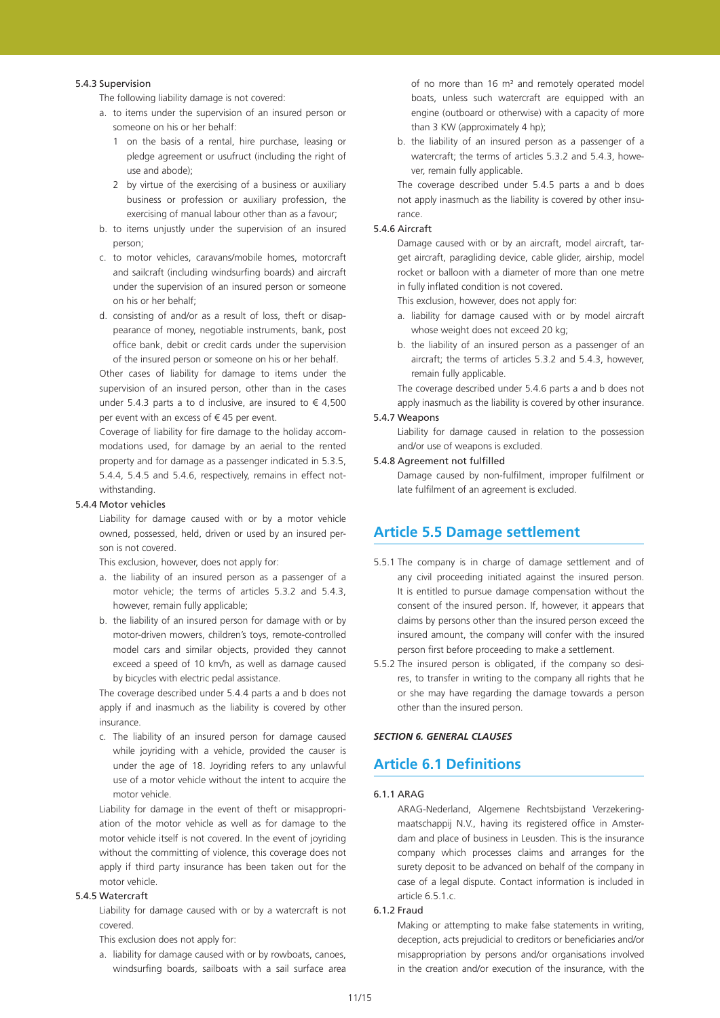#### 5.4.3 Supervision

The following liability damage is not covered:

- a. to items under the supervision of an insured person or someone on his or her behalf:
	- 1 on the basis of a rental, hire purchase, leasing or pledge agreement or usufruct (including the right of use and abode);
	- 2 by virtue of the exercising of a business or auxiliary business or profession or auxiliary profession, the exercising of manual labour other than as a favour;
- b. to items unjustly under the supervision of an insured person;
- c. to motor vehicles, caravans/mobile homes, motorcraft and sailcraft (including windsurfing boards) and aircraft under the supervision of an insured person or someone on his or her behalf;
- d. consisting of and/or as a result of loss, theft or disappearance of money, negotiable instruments, bank, post office bank, debit or credit cards under the supervision of the insured person or someone on his or her behalf.

Other cases of liability for damage to items under the supervision of an insured person, other than in the cases under 5.4.3 parts a to d inclusive, are insured to  $\epsilon$  4,500 per event with an excess of  $\epsilon$  45 per event.

Coverage of liability for fire damage to the holiday accommodations used, for damage by an aerial to the rented property and for damage as a passenger indicated in 5.3.5, 5.4.4, 5.4.5 and 5.4.6, respectively, remains in effect notwithstanding.

#### 5.4.4 Motor vehicles

Liability for damage caused with or by a motor vehicle owned, possessed, held, driven or used by an insured person is not covered.

This exclusion, however, does not apply for:

- a. the liability of an insured person as a passenger of a motor vehicle; the terms of articles 5.3.2 and 5.4.3, however, remain fully applicable;
- b. the liability of an insured person for damage with or by motor-driven mowers, children's toys, remote-controlled model cars and similar objects, provided they cannot exceed a speed of 10 km/h, as well as damage caused by bicycles with electric pedal assistance.

The coverage described under 5.4.4 parts a and b does not apply if and inasmuch as the liability is covered by other insurance.

c. The liability of an insured person for damage caused while joyriding with a vehicle, provided the causer is under the age of 18. Joyriding refers to any unlawful use of a motor vehicle without the intent to acquire the motor vehicle.

Liability for damage in the event of theft or misappropriation of the motor vehicle as well as for damage to the motor vehicle itself is not covered. In the event of joyriding without the committing of violence, this coverage does not apply if third party insurance has been taken out for the motor vehicle.

## 5.4.5 Watercraft

Liability for damage caused with or by a watercraft is not covered.

This exclusion does not apply for:

a. liability for damage caused with or by rowboats, canoes, windsurfing boards, sailboats with a sail surface area of no more than 16 m² and remotely operated model boats, unless such watercraft are equipped with an engine (outboard or otherwise) with a capacity of more than 3 KW (approximately 4 hp);

b. the liability of an insured person as a passenger of a watercraft; the terms of articles 5.3.2 and 5.4.3, however, remain fully applicable.

The coverage described under 5.4.5 parts a and b does not apply inasmuch as the liability is covered by other insurance.

#### 5.4.6 Aircraft

Damage caused with or by an aircraft, model aircraft, target aircraft, paragliding device, cable glider, airship, model rocket or balloon with a diameter of more than one metre in fully inflated condition is not covered.

This exclusion, however, does not apply for:

- a. liability for damage caused with or by model aircraft whose weight does not exceed 20 kg;
- b. the liability of an insured person as a passenger of an aircraft; the terms of articles 5.3.2 and 5.4.3, however, remain fully applicable.

The coverage described under 5.4.6 parts a and b does not apply inasmuch as the liability is covered by other insurance.

## 5.4.7 Weapons

Liability for damage caused in relation to the possession and/or use of weapons is excluded.

#### 5.4.8 Agreement not fulfilled

Damage caused by non-fulfilment, improper fulfilment or late fulfilment of an agreement is excluded.

## **Article 5.5 Damage settlement**

- 5.5.1 The company is in charge of damage settlement and of any civil proceeding initiated against the insured person. It is entitled to pursue damage compensation without the consent of the insured person. If, however, it appears that claims by persons other than the insured person exceed the insured amount, the company will confer with the insured person first before proceeding to make a settlement.
- 5.5.2 The insured person is obligated, if the company so desires, to transfer in writing to the company all rights that he or she may have regarding the damage towards a person other than the insured person.

#### *SECTION 6. GENERAL CLAUSES*

## **Article 6.1 Definitions**

### 6.1.1 ARAG

ARAG-Nederland, Algemene Rechtsbijstand Verzekeringmaatschappij N.V., having its registered office in Amsterdam and place of business in Leusden. This is the insurance company which processes claims and arranges for the surety deposit to be advanced on behalf of the company in case of a legal dispute. Contact information is included in article  $6.5.1.c.$ 

## 6.1.2 Fraud

Making or attempting to make false statements in writing, deception, acts prejudicial to creditors or beneficiaries and/or misappropriation by persons and/or organisations involved in the creation and/or execution of the insurance, with the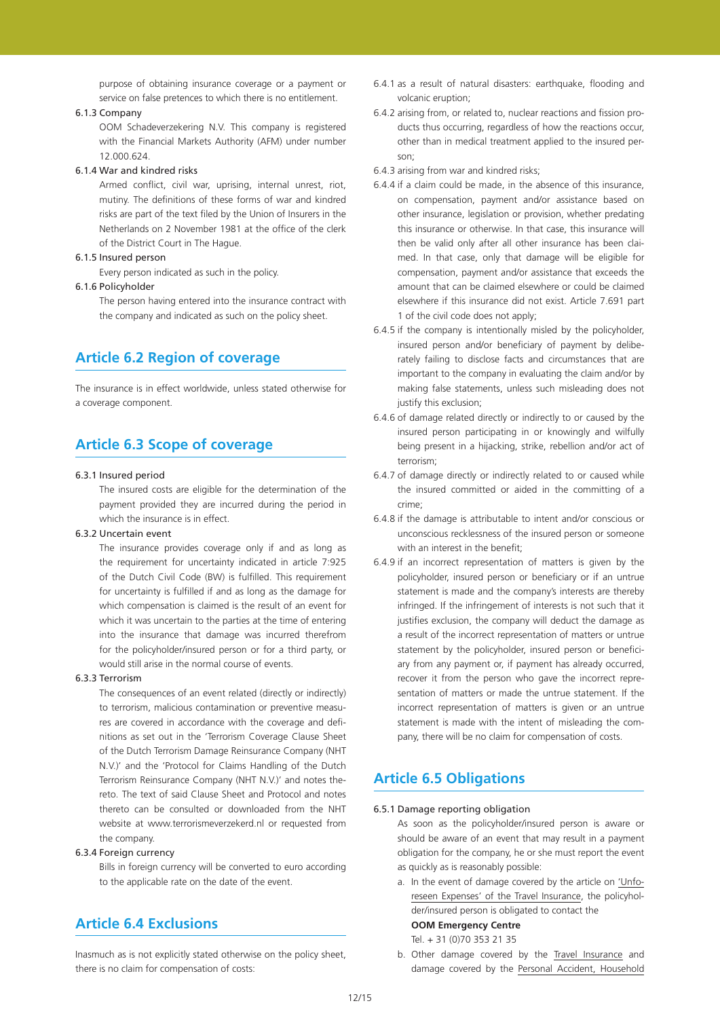purpose of obtaining insurance coverage or a payment or service on false pretences to which there is no entitlement.

## 6.1.3 Company

OOM Schadeverzekering N.V. This company is registered with the Financial Markets Authority (AFM) under number 12.000.624.

#### 6.1.4 War and kindred risks

Armed conflict, civil war, uprising, internal unrest, riot, mutiny. The definitions of these forms of war and kindred risks are part of the text filed by the Union of Insurers in the Netherlands on 2 November 1981 at the office of the clerk of the District Court in The Hague.

### 6.1.5 Insured person

Every person indicated as such in the policy.

## 6.1.6 Policyholder

The person having entered into the insurance contract with the company and indicated as such on the policy sheet.

## **Article 6.2 Region of coverage**

The insurance is in effect worldwide, unless stated otherwise for a coverage component.

## **Article 6.3 Scope of coverage**

#### 6.3.1 Insured period

The insured costs are eligible for the determination of the payment provided they are incurred during the period in which the insurance is in effect.

#### 6.3.2 Uncertain event

The insurance provides coverage only if and as long as the requirement for uncertainty indicated in article 7:925 of the Dutch Civil Code (BW) is fulfilled. This requirement for uncertainty is fulfilled if and as long as the damage for which compensation is claimed is the result of an event for which it was uncertain to the parties at the time of entering into the insurance that damage was incurred therefrom for the policyholder/insured person or for a third party, or would still arise in the normal course of events.

#### 6.3.3 Terrorism

The consequences of an event related (directly or indirectly) to terrorism, malicious contamination or preventive measures are covered in accordance with the coverage and definitions as set out in the 'Terrorism Coverage Clause Sheet of the Dutch Terrorism Damage Reinsurance Company (NHT N.V.)' and the 'Protocol for Claims Handling of the Dutch Terrorism Reinsurance Company (NHT N.V.)' and notes thereto. The text of said Clause Sheet and Protocol and notes thereto can be consulted or downloaded from the NHT website at www.terrorismeverzekerd.nl or requested from the company.

### 6.3.4 Foreign currency

Bills in foreign currency will be converted to euro according to the applicable rate on the date of the event.

# **Article 6.4 Exclusions**

Inasmuch as is not explicitly stated otherwise on the policy sheet, there is no claim for compensation of costs:

- 6.4.1 as a result of natural disasters: earthquake, flooding and volcanic eruption;
- 6.4.2 arising from, or related to, nuclear reactions and fission products thus occurring, regardless of how the reactions occur, other than in medical treatment applied to the insured person;
- 6.4.3 arising from war and kindred risks;
- 6.4.4 if a claim could be made, in the absence of this insurance, on compensation, payment and/or assistance based on other insurance, legislation or provision, whether predating this insurance or otherwise. In that case, this insurance will then be valid only after all other insurance has been claimed. In that case, only that damage will be eligible for compensation, payment and/or assistance that exceeds the amount that can be claimed elsewhere or could be claimed elsewhere if this insurance did not exist. Article 7.691 part 1 of the civil code does not apply;
- 6.4.5 if the company is intentionally misled by the policyholder, insured person and/or beneficiary of payment by deliberately failing to disclose facts and circumstances that are important to the company in evaluating the claim and/or by making false statements, unless such misleading does not justify this exclusion;
- 6.4.6 of damage related directly or indirectly to or caused by the insured person participating in or knowingly and wilfully being present in a hijacking, strike, rebellion and/or act of terrorism;
- 6.4.7 of damage directly or indirectly related to or caused while the insured committed or aided in the committing of a crime;
- 6.4.8 if the damage is attributable to intent and/or conscious or unconscious recklessness of the insured person or someone with an interest in the benefit:
- 6.4.9 if an incorrect representation of matters is given by the policyholder, insured person or beneficiary or if an untrue statement is made and the company's interests are thereby infringed. If the infringement of interests is not such that it justifies exclusion, the company will deduct the damage as a result of the incorrect representation of matters or untrue statement by the policyholder, insured person or beneficiary from any payment or, if payment has already occurred, recover it from the person who gave the incorrect representation of matters or made the untrue statement. If the incorrect representation of matters is given or an untrue statement is made with the intent of misleading the company, there will be no claim for compensation of costs.

## **Article 6.5 Obligations**

## 6.5.1 Damage reporting obligation

As soon as the policyholder/insured person is aware or should be aware of an event that may result in a payment obligation for the company, he or she must report the event as quickly as is reasonably possible:

a. In the event of damage covered by the article on 'Unforeseen Expenses' of the Travel Insurance, the policyholder/insured person is obligated to contact the

## **OOM Emergency Centre**

Tel. + 31 (0)70 353 21 35

b. Other damage covered by the Travel Insurance and damage covered by the Personal Accident, Household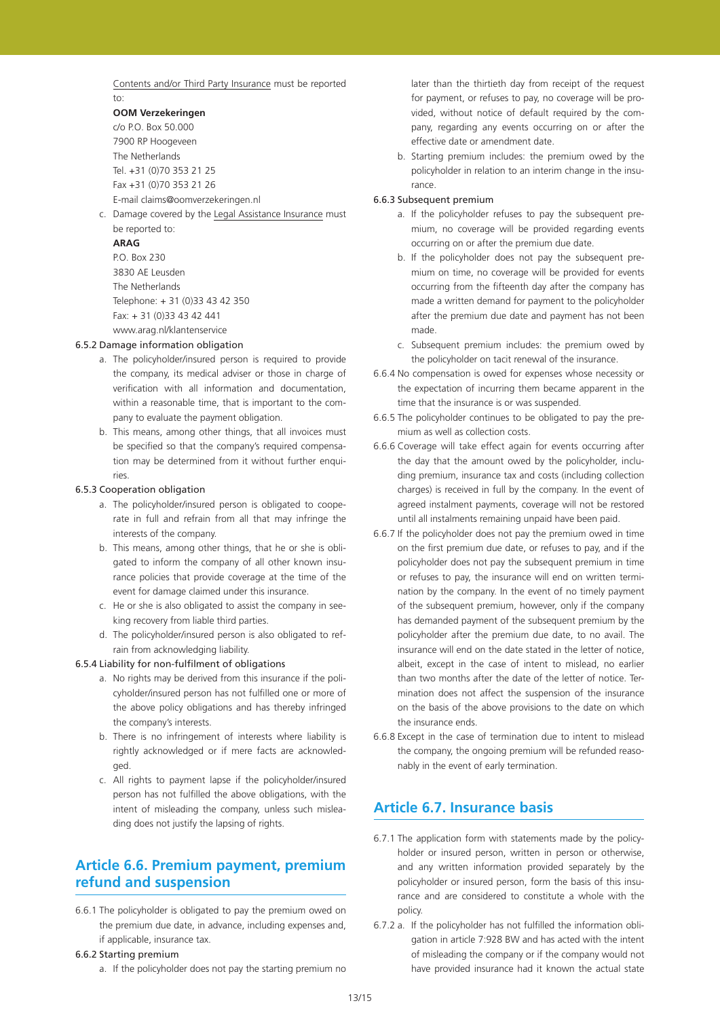Contents and/or Third Party Insurance must be reported to:

## **OOM Verzekeringen**

c/o P.O. Box 50.000 7900 RP Hoogeveen The Netherlands Tel. +31 (0)70 353 21 25 Fax +31 (0)70 353 21 26 E-mail claims@oomverzekeringen.nl

c. Damage covered by the Legal Assistance Insurance must be reported to:

## **ARAG**

P.O. Box 230 3830 AE Leusden The Netherlands Telephone: + 31 (0)33 43 42 350 Fax: + 31 (0)33 43 42 441 www.arag.nl/klantenservice

## 6.5.2 Damage information obligation

- a. The policyholder/insured person is required to provide the company, its medical adviser or those in charge of verification with all information and documentation, within a reasonable time, that is important to the company to evaluate the payment obligation.
- b. This means, among other things, that all invoices must be specified so that the company's required compensation may be determined from it without further enquiries.

### 6.5.3 Cooperation obligation

- a. The policyholder/insured person is obligated to cooperate in full and refrain from all that may infringe the interests of the company.
- b. This means, among other things, that he or she is obligated to inform the company of all other known insurance policies that provide coverage at the time of the event for damage claimed under this insurance.
- c. He or she is also obligated to assist the company in seeking recovery from liable third parties.
- d. The policyholder/insured person is also obligated to refrain from acknowledging liability.

### 6.5.4 Liability for non-fulfilment of obligations

- a. No rights may be derived from this insurance if the policyholder/insured person has not fulfilled one or more of the above policy obligations and has thereby infringed the company's interests.
- b. There is no infringement of interests where liability is rightly acknowledged or if mere facts are acknowledged.
- c. All rights to payment lapse if the policyholder/insured person has not fulfilled the above obligations, with the intent of misleading the company, unless such misleading does not justify the lapsing of rights.

# **Article 6.6. Premium payment, premium refund and suspension**

6.6.1 The policyholder is obligated to pay the premium owed on the premium due date, in advance, including expenses and, if applicable, insurance tax.

### 6.6.2 Starting premium

a. If the policyholder does not pay the starting premium no

later than the thirtieth day from receipt of the request for payment, or refuses to pay, no coverage will be provided, without notice of default required by the company, regarding any events occurring on or after the effective date or amendment date.

b. Starting premium includes: the premium owed by the policyholder in relation to an interim change in the insurance.

## 6.6.3 Subsequent premium

- a. If the policyholder refuses to pay the subsequent premium, no coverage will be provided regarding events occurring on or after the premium due date.
- b. If the policyholder does not pay the subsequent premium on time, no coverage will be provided for events occurring from the fifteenth day after the company has made a written demand for payment to the policyholder after the premium due date and payment has not been made.
- c. Subsequent premium includes: the premium owed by the policyholder on tacit renewal of the insurance.
- 6.6.4 No compensation is owed for expenses whose necessity or the expectation of incurring them became apparent in the time that the insurance is or was suspended.
- 6.6.5 The policyholder continues to be obligated to pay the premium as well as collection costs.
- 6.6.6 Coverage will take effect again for events occurring after the day that the amount owed by the policyholder, including premium, insurance tax and costs (including collection charges) is received in full by the company. In the event of agreed instalment payments, coverage will not be restored until all instalments remaining unpaid have been paid.
- 6.6.7 If the policyholder does not pay the premium owed in time on the first premium due date, or refuses to pay, and if the policyholder does not pay the subsequent premium in time or refuses to pay, the insurance will end on written termination by the company. In the event of no timely payment of the subsequent premium, however, only if the company has demanded payment of the subsequent premium by the policyholder after the premium due date, to no avail. The insurance will end on the date stated in the letter of notice, albeit, except in the case of intent to mislead, no earlier than two months after the date of the letter of notice. Termination does not affect the suspension of the insurance on the basis of the above provisions to the date on which the insurance ends.
- 6.6.8 Except in the case of termination due to intent to mislead the company, the ongoing premium will be refunded reasonably in the event of early termination.

# **Article 6.7. Insurance basis**

- 6.7.1 The application form with statements made by the policyholder or insured person, written in person or otherwise, and any written information provided separately by the policyholder or insured person, form the basis of this insurance and are considered to constitute a whole with the policy.
- 6.7.2 a. If the policyholder has not fulfilled the information obligation in article 7:928 BW and has acted with the intent of misleading the company or if the company would not have provided insurance had it known the actual state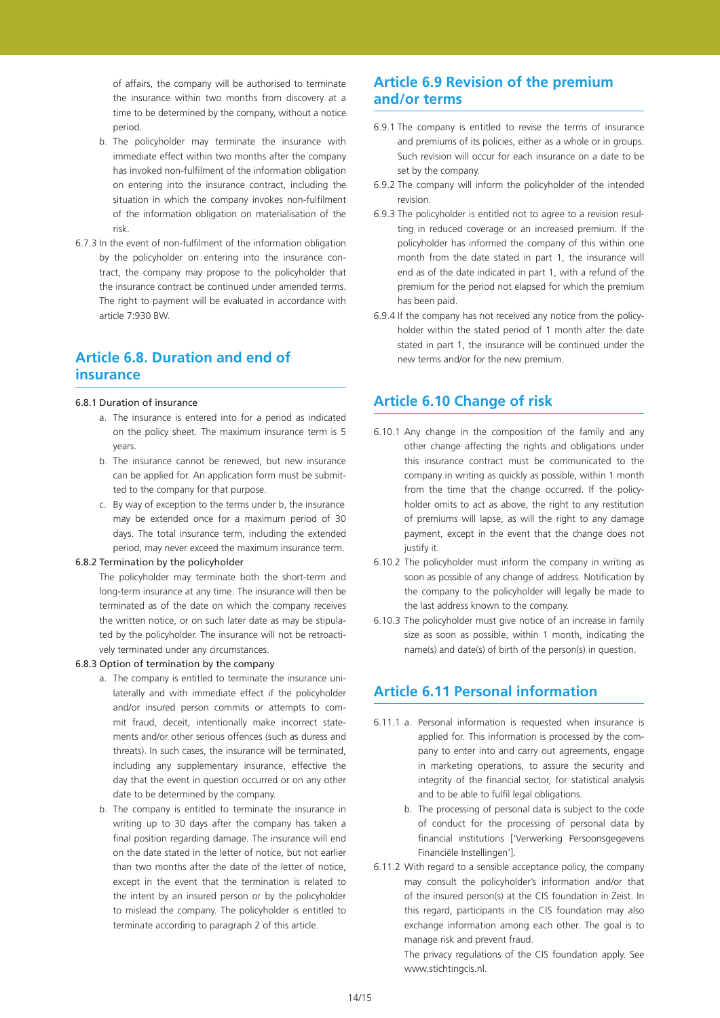of affairs, the company will be authorised to terminate the insurance within two months from discovery at a time to be determined by the company, without a notice period.

- b. The policyholder may terminate the insurance with immediate effect within two months after the company has invoked non-fulfilment of the information obligation on entering into the insurance contract, including the situation in which the company invokes non-fulfilment of the information obligation on materialisation of the risk.
- 6.7.3 In the event of non-fulfilment of the information obligation by the policyholder on entering into the insurance contract, the company may propose to the policyholder that the insurance contract be continued under amended terms. The right to payment will be evaluated in accordance with article 7:930 BW.

# **Article 6.8. Duration and end of insurance**

#### 6.8.1 Duration of insurance

- a. The insurance is entered into for a period as indicated on the policy sheet. The maximum insurance term is 5 years.
- b. The insurance cannot be renewed, but new insurance can be applied for. An application form must be submitted to the company for that purpose.
- c. By way of exception to the terms under b, the insurance may be extended once for a maximum period of 30 days. The total insurance term, including the extended period, may never exceed the maximum insurance term.

#### 6.8.2 Termination by the policyholder

The policyholder may terminate both the short-term and long-term insurance at any time. The insurance will then be terminated as of the date on which the company receives the written notice, or on such later date as may be stipulated by the policyholder. The insurance will not be retroactively terminated under any circumstances.

#### 6.8.3 Option of termination by the company

- a. The company is entitled to terminate the insurance unilaterally and with immediate effect if the policyholder and/or insured person commits or attempts to commit fraud, deceit, intentionally make incorrect statements and/or other serious offences (such as duress and threats). In such cases, the insurance will be terminated, including any supplementary insurance, effective the day that the event in question occurred or on any other date to be determined by the company.
- b. The company is entitled to terminate the insurance in writing up to 30 days after the company has taken a final position regarding damage. The insurance will end on the date stated in the letter of notice, but not earlier than two months after the date of the letter of notice except in the event that the termination is related to the intent by an insured person or by the policyholder to mislead the company. The policyholder is entitled to terminate according to paragraph 2 of this article.

# **Article 6.9 Revision of the premium and/or terms**

- 6.9.1 The company is entitled to revise the terms of insurance and premiums of its policies, either as a whole or in groups. Such revision will occur for each insurance on a date to be set by the company.
- 6.9.2 The company will inform the policyholder of the intended revision.
- 6.9.3 The policyholder is entitled not to agree to a revision resulting in reduced coverage or an increased premium. If the policyholder has informed the company of this within one month from the date stated in part 1, the insurance will end as of the date indicated in part 1, with a refund of the premium for the period not elapsed for which the premium has been paid.
- 6.9.4 If the company has not received any notice from the policyholder within the stated period of 1 month after the date stated in part 1, the insurance will be continued under the new terms and/or for the new premium.

## **Article 6.10 Change of risk**

- 6.10.1 Any change in the composition of the family and any other change affecting the rights and obligations under this insurance contract must be communicated to the company in writing as quickly as possible, within 1 month from the time that the change occurred. If the policyholder omits to act as above, the right to any restitution of premiums will lapse, as will the right to any damage payment, except in the event that the change does not justify it.
- 6.10.2 The policyholder must inform the company in writing as soon as possible of any change of address. Notification by the company to the policyholder will legally be made to the last address known to the company.
- 6.10.3 The policyholder must give notice of an increase in family size as soon as possible, within 1 month, indicating the name(s) and date(s) of birth of the person(s) in question.

## **Article 6.11 Personal information**

- 6.11.1 a. Personal information is requested when insurance is applied for. This information is processed by the company to enter into and carry out agreements, engage in marketing operations, to assure the security and integrity of the financial sector, for statistical analysis and to be able to fulfil legal obligations.
	- b. The processing of personal data is subject to the code of conduct for the processing of personal data by financial institutions ['Verwerking Persoonsgegevens Financiële Instellingen'].
- 6.11.2 With regard to a sensible acceptance policy, the company may consult the policyholder's information and/or that of the insured person(s) at the CIS foundation in Zeist. In this regard, participants in the CIS foundation may also exchange information among each other. The goal is to manage risk and prevent fraud.

The privacy regulations of the CIS foundation apply. See www.stichtingcis.nl.